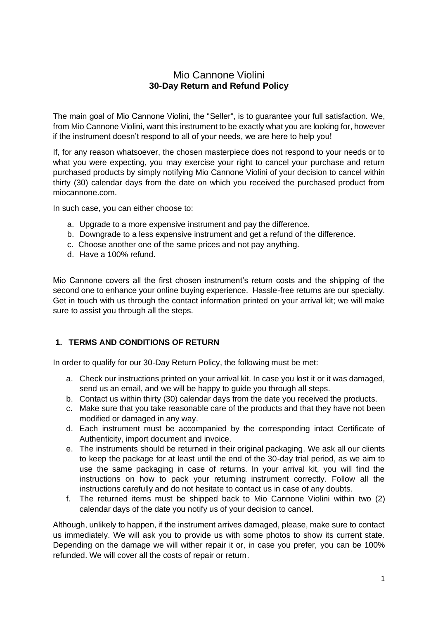# Mio Cannone Violini **30-Day Return and Refund Policy**

The main goal of Mio Cannone Violini, the "Seller", is to guarantee your full satisfaction. We, from Mio Cannone Violini, want this instrument to be exactly what you are looking for, however if the instrument doesn't respond to all of your needs, we are here to help you!

If, for any reason whatsoever, the chosen masterpiece does not respond to your needs or to what you were expecting, you may exercise your right to cancel your purchase and return purchased products by simply notifying Mio Cannone Violini of your decision to cancel within thirty (30) calendar days from the date on which you received the purchased product from miocannone.com.

In such case, you can either choose to:

- a. Upgrade to a more expensive instrument and pay the difference.
- b. Downgrade to a less expensive instrument and get a refund of the difference.
- c. Choose another one of the same prices and not pay anything.
- d. Have a 100% refund.

Mio Cannone covers all the first chosen instrument's return costs and the shipping of the second one to enhance your online buying experience. Hassle-free returns are our specialty. Get in touch with us through the contact information printed on your arrival kit; we will make sure to assist you through all the steps.

#### **1. TERMS AND CONDITIONS OF RETURN**

In order to qualify for our 30-Day Return Policy, the following must be met:

- a. Check our instructions printed on your arrival kit. In case you lost it or it was damaged, send us an email, and we will be happy to guide you through all steps.
- b. Contact us within thirty (30) calendar days from the date you received the products.
- c. Make sure that you take reasonable care of the products and that they have not been modified or damaged in any way.
- d. Each instrument must be accompanied by the corresponding intact Certificate of Authenticity, import document and invoice.
- e. The instruments should be returned in their original packaging. We ask all our clients to keep the package for at least until the end of the 30-day trial period, as we aim to use the same packaging in case of returns. In your arrival kit, you will find the instructions on how to pack your returning instrument correctly. Follow all the instructions carefully and do not hesitate to contact us in case of any doubts.
- f. The returned items must be shipped back to Mio Cannone Violini within two (2) calendar days of the date you notify us of your decision to cancel.

Although, unlikely to happen, if the instrument arrives damaged, please, make sure to contact us immediately. We will ask you to provide us with some photos to show its current state. Depending on the damage we will wither repair it or, in case you prefer, you can be 100% refunded. We will cover all the costs of repair or return.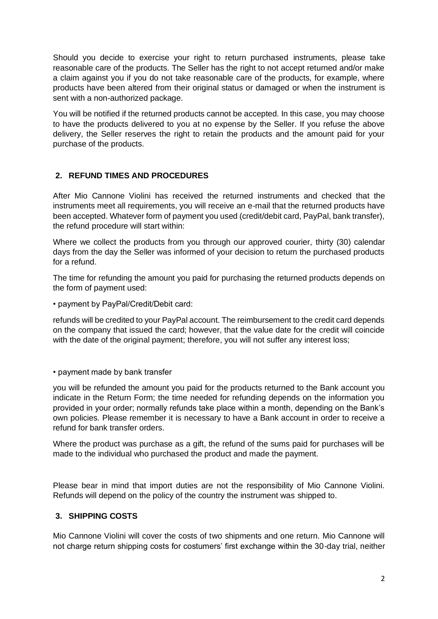Should you decide to exercise your right to return purchased instruments, please take reasonable care of the products. The Seller has the right to not accept returned and/or make a claim against you if you do not take reasonable care of the products, for example, where products have been altered from their original status or damaged or when the instrument is sent with a non-authorized package.

You will be notified if the returned products cannot be accepted. In this case, you may choose to have the products delivered to you at no expense by the Seller. If you refuse the above delivery, the Seller reserves the right to retain the products and the amount paid for your purchase of the products.

# **2. REFUND TIMES AND PROCEDURES**

After Mio Cannone Violini has received the returned instruments and checked that the instruments meet all requirements, you will receive an e-mail that the returned products have been accepted. Whatever form of payment you used (credit/debit card, PayPal, bank transfer), the refund procedure will start within:

Where we collect the products from you through our approved courier, thirty (30) calendar days from the day the Seller was informed of your decision to return the purchased products for a refund.

The time for refunding the amount you paid for purchasing the returned products depends on the form of payment used:

• payment by PayPal/Credit/Debit card:

refunds will be credited to your PayPal account. The reimbursement to the credit card depends on the company that issued the card; however, that the value date for the credit will coincide with the date of the original payment; therefore, you will not suffer any interest loss;

• payment made by bank transfer

you will be refunded the amount you paid for the products returned to the Bank account you indicate in the Return Form; the time needed for refunding depends on the information you provided in your order; normally refunds take place within a month, depending on the Bank's own policies. Please remember it is necessary to have a Bank account in order to receive a refund for bank transfer orders.

Where the product was purchase as a gift, the refund of the sums paid for purchases will be made to the individual who purchased the product and made the payment.

Please bear in mind that import duties are not the responsibility of Mio Cannone Violini. Refunds will depend on the policy of the country the instrument was shipped to.

#### **3. SHIPPING COSTS**

Mio Cannone Violini will cover the costs of two shipments and one return. Mio Cannone will not charge return shipping costs for costumers' first exchange within the 30-day trial, neither